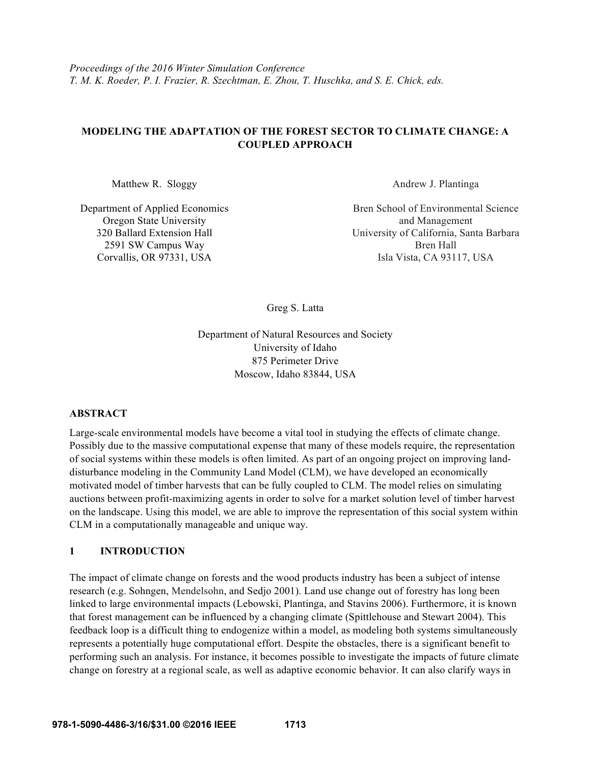# **MODELING THE ADAPTATION OF THE FOREST SECTOR TO CLIMATE CHANGE: A COUPLED APPROACH**

Matthew R. Sloggy

Department of Applied Economics Oregon State University 320 Ballard Extension Hall 2591 SW Campus Way Corvallis, OR 97331, USA

Andrew J. Plantinga

Bren School of Environmental Science and Management University of California, Santa Barbara Bren Hall Isla Vista, CA 93117, USA

Greg S. Latta

Department of Natural Resources and Society University of Idaho 875 Perimeter Drive Moscow, Idaho 83844, USA

## **ABSTRACT**

Large-scale environmental models have become a vital tool in studying the effects of climate change. Possibly due to the massive computational expense that many of these models require, the representation of social systems within these models is often limited. As part of an ongoing project on improving landdisturbance modeling in the Community Land Model (CLM), we have developed an economically motivated model of timber harvests that can be fully coupled to CLM. The model relies on simulating auctions between profit-maximizing agents in order to solve for a market solution level of timber harvest on the landscape. Using this model, we are able to improve the representation of this social system within CLM in a computationally manageable and unique way.

## **1 INTRODUCTION**

The impact of climate change on forests and the wood products industry has been a subject of intense research (e.g. Sohngen, Mendelsohn, and Sedjo 2001). Land use change out of forestry has long been linked to large environmental impacts (Lebowski, Plantinga, and Stavins 2006). Furthermore, it is known that forest management can be influenced by a changing climate (Spittlehouse and Stewart 2004). This feedback loop is a difficult thing to endogenize within a model, as modeling both systems simultaneously represents a potentially huge computational effort. Despite the obstacles, there is a significant benefit to performing such an analysis. For instance, it becomes possible to investigate the impacts of future climate change on forestry at a regional scale, as well as adaptive economic behavior. It can also clarify ways in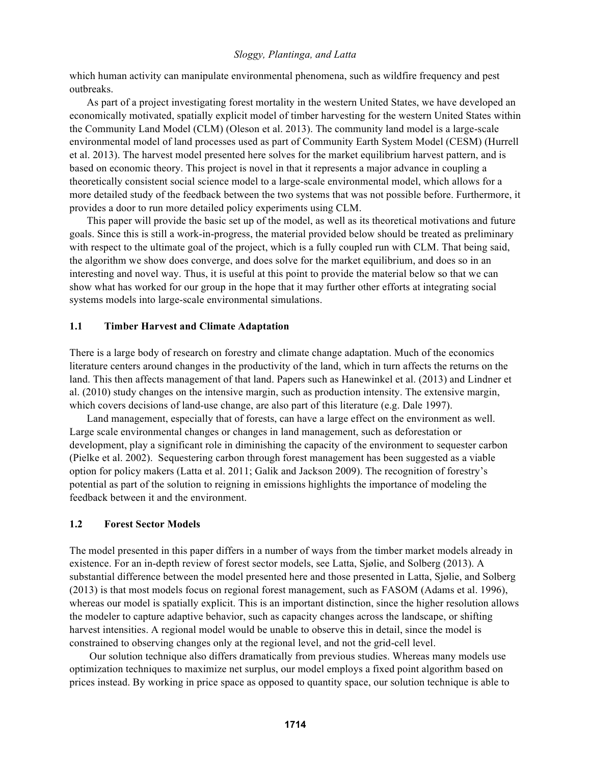which human activity can manipulate environmental phenomena, such as wildfire frequency and pest outbreaks.

As part of a project investigating forest mortality in the western United States, we have developed an economically motivated, spatially explicit model of timber harvesting for the western United States within the Community Land Model (CLM) (Oleson et al. 2013). The community land model is a large-scale environmental model of land processes used as part of Community Earth System Model (CESM) (Hurrell et al. 2013). The harvest model presented here solves for the market equilibrium harvest pattern, and is based on economic theory. This project is novel in that it represents a major advance in coupling a theoretically consistent social science model to a large-scale environmental model, which allows for a more detailed study of the feedback between the two systems that was not possible before. Furthermore, it provides a door to run more detailed policy experiments using CLM.

This paper will provide the basic set up of the model, as well as its theoretical motivations and future goals. Since this is still a work-in-progress, the material provided below should be treated as preliminary with respect to the ultimate goal of the project, which is a fully coupled run with CLM. That being said, the algorithm we show does converge, and does solve for the market equilibrium, and does so in an interesting and novel way. Thus, it is useful at this point to provide the material below so that we can show what has worked for our group in the hope that it may further other efforts at integrating social systems models into large-scale environmental simulations.

#### **1.1 Timber Harvest and Climate Adaptation**

There is a large body of research on forestry and climate change adaptation. Much of the economics literature centers around changes in the productivity of the land, which in turn affects the returns on the land. This then affects management of that land. Papers such as Hanewinkel et al. (2013) and Lindner et al. (2010) study changes on the intensive margin, such as production intensity. The extensive margin, which covers decisions of land-use change, are also part of this literature (e.g. Dale 1997).

Land management, especially that of forests, can have a large effect on the environment as well. Large scale environmental changes or changes in land management, such as deforestation or development, play a significant role in diminishing the capacity of the environment to sequester carbon (Pielke et al. 2002). Sequestering carbon through forest management has been suggested as a viable option for policy makers (Latta et al. 2011; Galik and Jackson 2009). The recognition of forestry's potential as part of the solution to reigning in emissions highlights the importance of modeling the feedback between it and the environment.

### **1.2 Forest Sector Models**

The model presented in this paper differs in a number of ways from the timber market models already in existence. For an in-depth review of forest sector models, see Latta, Sjølie, and Solberg (2013). A substantial difference between the model presented here and those presented in Latta, Sjølie, and Solberg (2013) is that most models focus on regional forest management, such as FASOM (Adams et al. 1996), whereas our model is spatially explicit. This is an important distinction, since the higher resolution allows the modeler to capture adaptive behavior, such as capacity changes across the landscape, or shifting harvest intensities. A regional model would be unable to observe this in detail, since the model is constrained to observing changes only at the regional level, and not the grid-cell level.

Our solution technique also differs dramatically from previous studies. Whereas many models use optimization techniques to maximize net surplus, our model employs a fixed point algorithm based on prices instead. By working in price space as opposed to quantity space, our solution technique is able to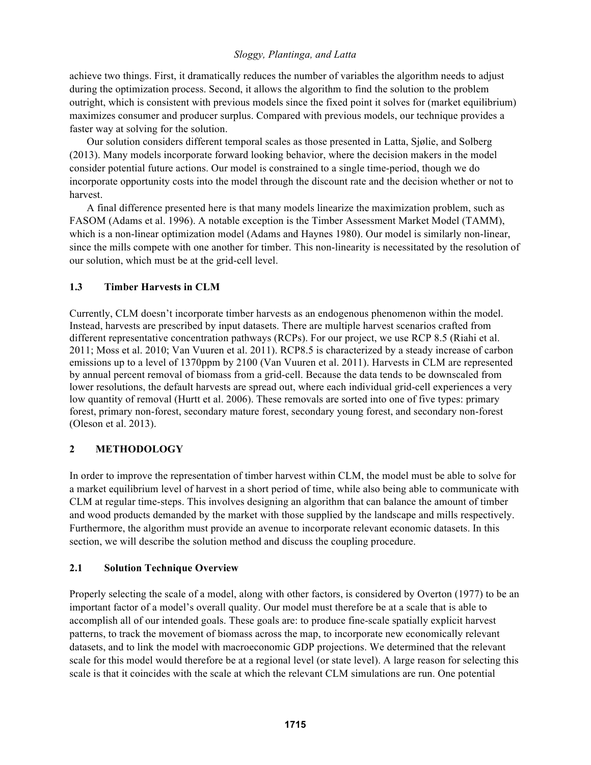achieve two things. First, it dramatically reduces the number of variables the algorithm needs to adjust during the optimization process. Second, it allows the algorithm to find the solution to the problem outright, which is consistent with previous models since the fixed point it solves for (market equilibrium) maximizes consumer and producer surplus. Compared with previous models, our technique provides a faster way at solving for the solution.

Our solution considers different temporal scales as those presented in Latta, Sjølie, and Solberg (2013). Many models incorporate forward looking behavior, where the decision makers in the model consider potential future actions. Our model is constrained to a single time-period, though we do incorporate opportunity costs into the model through the discount rate and the decision whether or not to harvest.

A final difference presented here is that many models linearize the maximization problem, such as FASOM (Adams et al. 1996). A notable exception is the Timber Assessment Market Model (TAMM), which is a non-linear optimization model (Adams and Haynes 1980). Our model is similarly non-linear, since the mills compete with one another for timber. This non-linearity is necessitated by the resolution of our solution, which must be at the grid-cell level.

# **1.3 Timber Harvests in CLM**

Currently, CLM doesn't incorporate timber harvests as an endogenous phenomenon within the model. Instead, harvests are prescribed by input datasets. There are multiple harvest scenarios crafted from different representative concentration pathways (RCPs). For our project, we use RCP 8.5 (Riahi et al. 2011; Moss et al. 2010; Van Vuuren et al. 2011). RCP8.5 is characterized by a steady increase of carbon emissions up to a level of 1370ppm by 2100 (Van Vuuren et al. 2011). Harvests in CLM are represented by annual percent removal of biomass from a grid-cell. Because the data tends to be downscaled from lower resolutions, the default harvests are spread out, where each individual grid-cell experiences a very low quantity of removal (Hurtt et al. 2006). These removals are sorted into one of five types: primary forest, primary non-forest, secondary mature forest, secondary young forest, and secondary non-forest (Oleson et al. 2013).

# **2 METHODOLOGY**

In order to improve the representation of timber harvest within CLM, the model must be able to solve for a market equilibrium level of harvest in a short period of time, while also being able to communicate with CLM at regular time-steps. This involves designing an algorithm that can balance the amount of timber and wood products demanded by the market with those supplied by the landscape and mills respectively. Furthermore, the algorithm must provide an avenue to incorporate relevant economic datasets. In this section, we will describe the solution method and discuss the coupling procedure.

# **2.1 Solution Technique Overview**

Properly selecting the scale of a model, along with other factors, is considered by Overton (1977) to be an important factor of a model's overall quality. Our model must therefore be at a scale that is able to accomplish all of our intended goals. These goals are: to produce fine-scale spatially explicit harvest patterns, to track the movement of biomass across the map, to incorporate new economically relevant datasets, and to link the model with macroeconomic GDP projections. We determined that the relevant scale for this model would therefore be at a regional level (or state level). A large reason for selecting this scale is that it coincides with the scale at which the relevant CLM simulations are run. One potential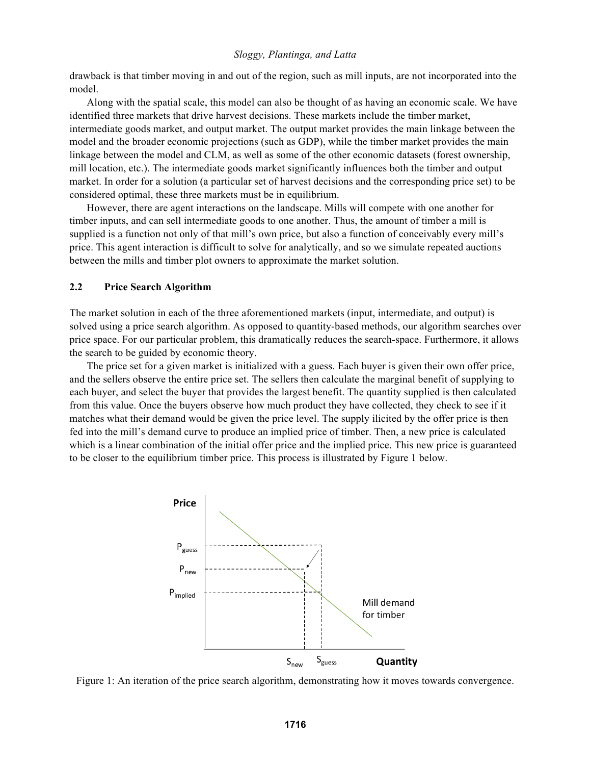drawback is that timber moving in and out of the region, such as mill inputs, are not incorporated into the model.

Along with the spatial scale, this model can also be thought of as having an economic scale. We have identified three markets that drive harvest decisions. These markets include the timber market, intermediate goods market, and output market. The output market provides the main linkage between the model and the broader economic projections (such as GDP), while the timber market provides the main linkage between the model and CLM, as well as some of the other economic datasets (forest ownership, mill location, etc.). The intermediate goods market significantly influences both the timber and output market. In order for a solution (a particular set of harvest decisions and the corresponding price set) to be considered optimal, these three markets must be in equilibrium.

However, there are agent interactions on the landscape. Mills will compete with one another for timber inputs, and can sell intermediate goods to one another. Thus, the amount of timber a mill is supplied is a function not only of that mill's own price, but also a function of conceivably every mill's price. This agent interaction is difficult to solve for analytically, and so we simulate repeated auctions between the mills and timber plot owners to approximate the market solution.

## **2.2 Price Search Algorithm**

The market solution in each of the three aforementioned markets (input, intermediate, and output) is solved using a price search algorithm. As opposed to quantity-based methods, our algorithm searches over price space. For our particular problem, this dramatically reduces the search-space. Furthermore, it allows the search to be guided by economic theory.

The price set for a given market is initialized with a guess. Each buyer is given their own offer price, and the sellers observe the entire price set. The sellers then calculate the marginal benefit of supplying to each buyer, and select the buyer that provides the largest benefit. The quantity supplied is then calculated from this value. Once the buyers observe how much product they have collected, they check to see if it matches what their demand would be given the price level. The supply ilicited by the offer price is then fed into the mill's demand curve to produce an implied price of timber. Then, a new price is calculated which is a linear combination of the initial offer price and the implied price. This new price is guaranteed to be closer to the equilibrium timber price. This process is illustrated by Figure 1 below.



Figure 1: An iteration of the price search algorithm, demonstrating how it moves towards convergence.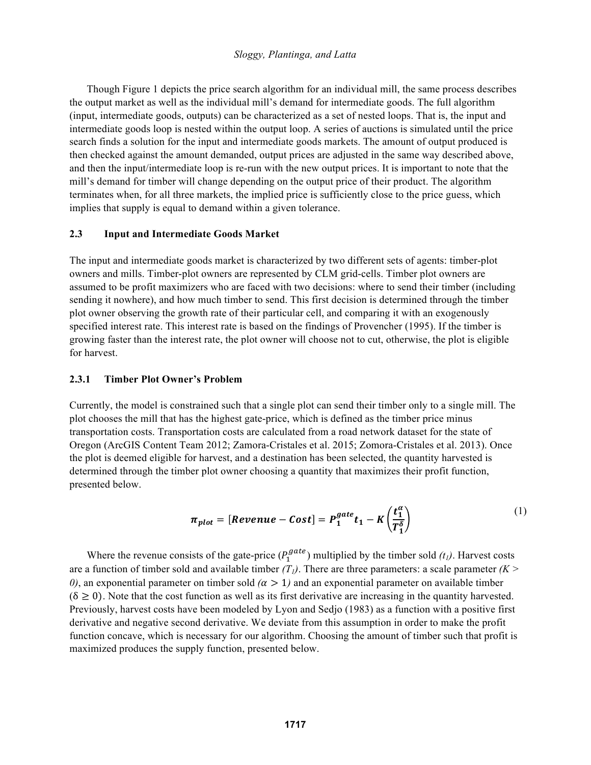Though Figure 1 depicts the price search algorithm for an individual mill, the same process describes the output market as well as the individual mill's demand for intermediate goods. The full algorithm (input, intermediate goods, outputs) can be characterized as a set of nested loops. That is, the input and intermediate goods loop is nested within the output loop. A series of auctions is simulated until the price search finds a solution for the input and intermediate goods markets. The amount of output produced is then checked against the amount demanded, output prices are adjusted in the same way described above, and then the input/intermediate loop is re-run with the new output prices. It is important to note that the mill's demand for timber will change depending on the output price of their product. The algorithm terminates when, for all three markets, the implied price is sufficiently close to the price guess, which implies that supply is equal to demand within a given tolerance.

## **2.3 Input and Intermediate Goods Market**

The input and intermediate goods market is characterized by two different sets of agents: timber-plot owners and mills. Timber-plot owners are represented by CLM grid-cells. Timber plot owners are assumed to be profit maximizers who are faced with two decisions: where to send their timber (including sending it nowhere), and how much timber to send. This first decision is determined through the timber plot owner observing the growth rate of their particular cell, and comparing it with an exogenously specified interest rate. This interest rate is based on the findings of Provencher (1995). If the timber is growing faster than the interest rate, the plot owner will choose not to cut, otherwise, the plot is eligible for harvest.

### **2.3.1 Timber Plot Owner's Problem**

Currently, the model is constrained such that a single plot can send their timber only to a single mill. The plot chooses the mill that has the highest gate-price, which is defined as the timber price minus transportation costs. Transportation costs are calculated from a road network dataset for the state of Oregon (ArcGIS Content Team 2012; Zamora-Cristales et al. 2015; Zomora-Cristales et al. 2013). Once the plot is deemed eligible for harvest, and a destination has been selected, the quantity harvested is determined through the timber plot owner choosing a quantity that maximizes their profit function, presented below.

$$
\pi_{plot} = [Revenue - Cost] = P_1^{gate} t_1 - K \left(\frac{t_1^{\alpha}}{T_1^{\delta}}\right)
$$
 (1)

Where the revenue consists of the gate-price  $(P_1^{gate})$  multiplied by the timber sold  $(t_1)$ . Harvest costs are a function of timber sold and available timber  $(T_1)$ . There are three parameters: a scale parameter  $(K >$ *0)*, an exponential parameter on timber sold  $(\alpha > 1)$  and an exponential parameter on available timber  $(6 \ge 0)$ . Note that the cost function as well as its first derivative are increasing in the quantity harvested. Previously, harvest costs have been modeled by Lyon and Sedjo (1983) as a function with a positive first derivative and negative second derivative. We deviate from this assumption in order to make the profit function concave, which is necessary for our algorithm. Choosing the amount of timber such that profit is maximized produces the supply function, presented below.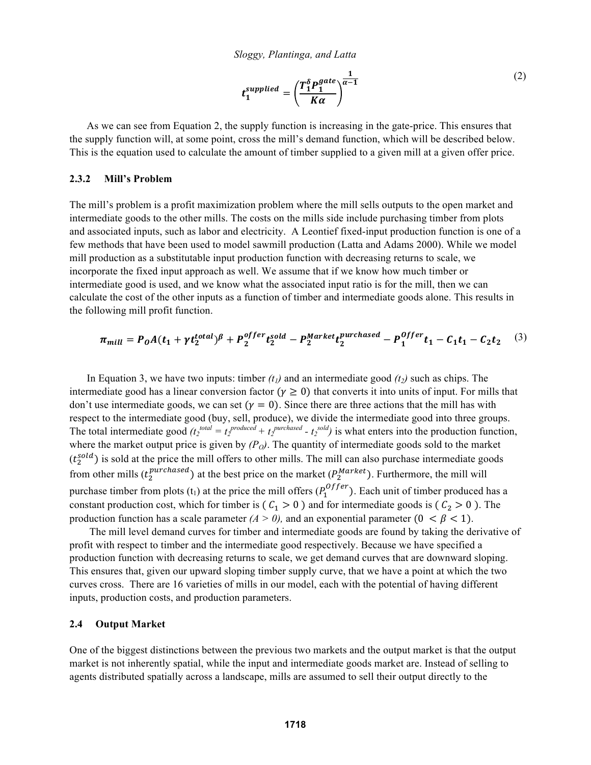$$
t_1^{supplied} = \left(\frac{T_1^{\delta} P_1^{gate}}{K\alpha}\right)^{\frac{1}{\alpha - 1}}
$$
 (2)

As we can see from Equation 2, the supply function is increasing in the gate-price. This ensures that the supply function will, at some point, cross the mill's demand function, which will be described below. This is the equation used to calculate the amount of timber supplied to a given mill at a given offer price.

#### **2.3.2 Mill's Problem**

The mill's problem is a profit maximization problem where the mill sells outputs to the open market and intermediate goods to the other mills. The costs on the mills side include purchasing timber from plots and associated inputs, such as labor and electricity. A Leontief fixed-input production function is one of a few methods that have been used to model sawmill production (Latta and Adams 2000). While we model mill production as a substitutable input production function with decreasing returns to scale, we incorporate the fixed input approach as well. We assume that if we know how much timber or intermediate good is used, and we know what the associated input ratio is for the mill, then we can calculate the cost of the other inputs as a function of timber and intermediate goods alone. This results in the following mill profit function.

$$
\boldsymbol{\pi}_{mill} = \boldsymbol{P}_0 A (t_1 + \gamma t_2^{total})^{\beta} + \boldsymbol{P}_2^{offer} t_2^{gold} - \boldsymbol{P}_2^{Market} t_2^{wurchased} - \boldsymbol{P}_1^{offer} t_1 - C_1 t_1 - C_2 t_2 \tag{3}
$$

In Equation 3, we have two inputs: timber  $(t_1)$  and an intermediate good  $(t_2)$  such as chips. The intermediate good has a linear conversion factor ( $\gamma \ge 0$ ) that converts it into units of input. For mills that don't use intermediate goods, we can set ( $\gamma = 0$ ). Since there are three actions that the mill has with respect to the intermediate good (buy, sell, produce), we divide the intermediate good into three groups. The total intermediate good  $(t_2^{total} = t_2^{produced} + t_2^{purehased} - t_2^{solid})$  is what enters into the production function, where the market output price is given by  $(P<sub>O</sub>)$ . The quantity of intermediate goods sold to the market  $(t_2^{gold})$  is sold at the price the mill offers to other mills. The mill can also purchase intermediate goods from other mills ( $t_2^{purchased}$ ) at the best price on the market ( $P_2^{Market}$ ). Furthermore, the mill will purchase timber from plots  $(t_1)$  at the price the mill offers  $(P_1^{offer})$ . Each unit of timber produced has a constant production cost, which for timber is ( $C_1 > 0$ ) and for intermediate goods is ( $C_2 > 0$ ). The production function has a scale parameter  $(A > 0)$ , and an exponential parameter  $(0 < \beta < 1)$ .

The mill level demand curves for timber and intermediate goods are found by taking the derivative of profit with respect to timber and the intermediate good respectively. Because we have specified a production function with decreasing returns to scale, we get demand curves that are downward sloping. This ensures that, given our upward sloping timber supply curve, that we have a point at which the two curves cross. There are 16 varieties of mills in our model, each with the potential of having different inputs, production costs, and production parameters.

#### **2.4 Output Market**

One of the biggest distinctions between the previous two markets and the output market is that the output market is not inherently spatial, while the input and intermediate goods market are. Instead of selling to agents distributed spatially across a landscape, mills are assumed to sell their output directly to the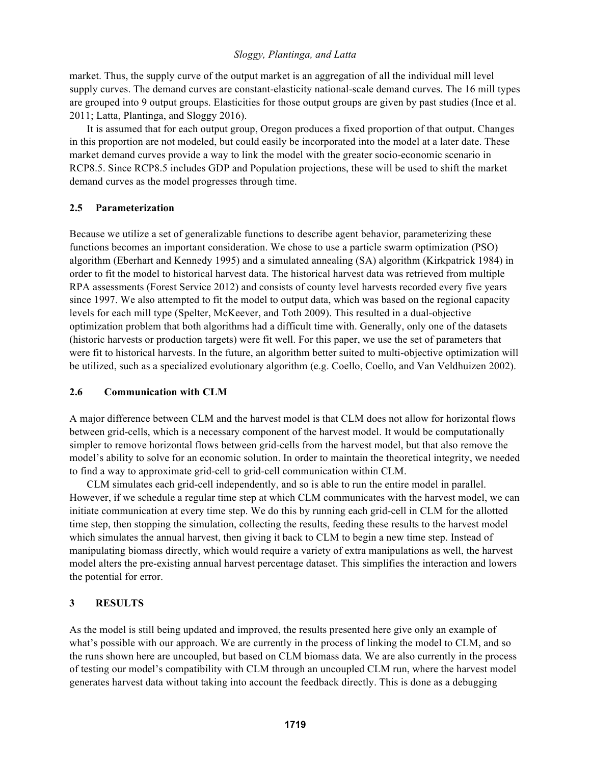market. Thus, the supply curve of the output market is an aggregation of all the individual mill level supply curves. The demand curves are constant-elasticity national-scale demand curves. The 16 mill types are grouped into 9 output groups. Elasticities for those output groups are given by past studies (Ince et al. 2011; Latta, Plantinga, and Sloggy 2016).

It is assumed that for each output group, Oregon produces a fixed proportion of that output. Changes in this proportion are not modeled, but could easily be incorporated into the model at a later date. These market demand curves provide a way to link the model with the greater socio-economic scenario in RCP8.5. Since RCP8.5 includes GDP and Population projections, these will be used to shift the market demand curves as the model progresses through time.

## **2.5 Parameterization**

Because we utilize a set of generalizable functions to describe agent behavior, parameterizing these functions becomes an important consideration. We chose to use a particle swarm optimization (PSO) algorithm (Eberhart and Kennedy 1995) and a simulated annealing (SA) algorithm (Kirkpatrick 1984) in order to fit the model to historical harvest data. The historical harvest data was retrieved from multiple RPA assessments (Forest Service 2012) and consists of county level harvests recorded every five years since 1997. We also attempted to fit the model to output data, which was based on the regional capacity levels for each mill type (Spelter, McKeever, and Toth 2009). This resulted in a dual-objective optimization problem that both algorithms had a difficult time with. Generally, only one of the datasets (historic harvests or production targets) were fit well. For this paper, we use the set of parameters that were fit to historical harvests. In the future, an algorithm better suited to multi-objective optimization will be utilized, such as a specialized evolutionary algorithm (e.g. Coello, Coello, and Van Veldhuizen 2002).

## **2.6 Communication with CLM**

A major difference between CLM and the harvest model is that CLM does not allow for horizontal flows between grid-cells, which is a necessary component of the harvest model. It would be computationally simpler to remove horizontal flows between grid-cells from the harvest model, but that also remove the model's ability to solve for an economic solution. In order to maintain the theoretical integrity, we needed to find a way to approximate grid-cell to grid-cell communication within CLM.

CLM simulates each grid-cell independently, and so is able to run the entire model in parallel. However, if we schedule a regular time step at which CLM communicates with the harvest model, we can initiate communication at every time step. We do this by running each grid-cell in CLM for the allotted time step, then stopping the simulation, collecting the results, feeding these results to the harvest model which simulates the annual harvest, then giving it back to CLM to begin a new time step. Instead of manipulating biomass directly, which would require a variety of extra manipulations as well, the harvest model alters the pre-existing annual harvest percentage dataset. This simplifies the interaction and lowers the potential for error.

# **3 RESULTS**

As the model is still being updated and improved, the results presented here give only an example of what's possible with our approach. We are currently in the process of linking the model to CLM, and so the runs shown here are uncoupled, but based on CLM biomass data. We are also currently in the process of testing our model's compatibility with CLM through an uncoupled CLM run, where the harvest model generates harvest data without taking into account the feedback directly. This is done as a debugging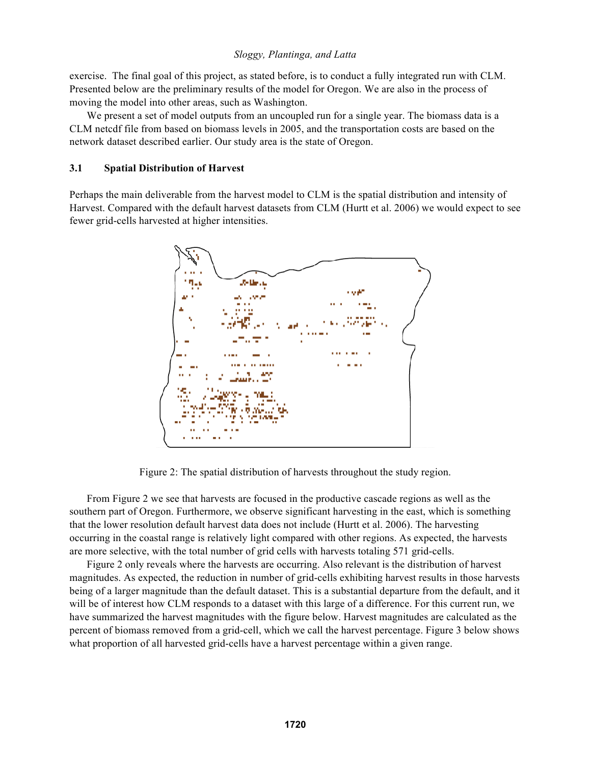exercise. The final goal of this project, as stated before, is to conduct a fully integrated run with CLM. Presented below are the preliminary results of the model for Oregon. We are also in the process of moving the model into other areas, such as Washington.

We present a set of model outputs from an uncoupled run for a single year. The biomass data is a CLM netcdf file from based on biomass levels in 2005, and the transportation costs are based on the network dataset described earlier. Our study area is the state of Oregon.

## **3.1 Spatial Distribution of Harvest**

Perhaps the main deliverable from the harvest model to CLM is the spatial distribution and intensity of Harvest. Compared with the default harvest datasets from CLM (Hurtt et al. 2006) we would expect to see fewer grid-cells harvested at higher intensities.



Figure 2: The spatial distribution of harvests throughout the study region.

From Figure 2 we see that harvests are focused in the productive cascade regions as well as the southern part of Oregon. Furthermore, we observe significant harvesting in the east, which is something that the lower resolution default harvest data does not include (Hurtt et al. 2006). The harvesting occurring in the coastal range is relatively light compared with other regions. As expected, the harvests are more selective, with the total number of grid cells with harvests totaling 571 grid-cells.

Figure 2 only reveals where the harvests are occurring. Also relevant is the distribution of harvest magnitudes. As expected, the reduction in number of grid-cells exhibiting harvest results in those harvests being of a larger magnitude than the default dataset. This is a substantial departure from the default, and it will be of interest how CLM responds to a dataset with this large of a difference. For this current run, we have summarized the harvest magnitudes with the figure below. Harvest magnitudes are calculated as the percent of biomass removed from a grid-cell, which we call the harvest percentage. Figure 3 below shows what proportion of all harvested grid-cells have a harvest percentage within a given range.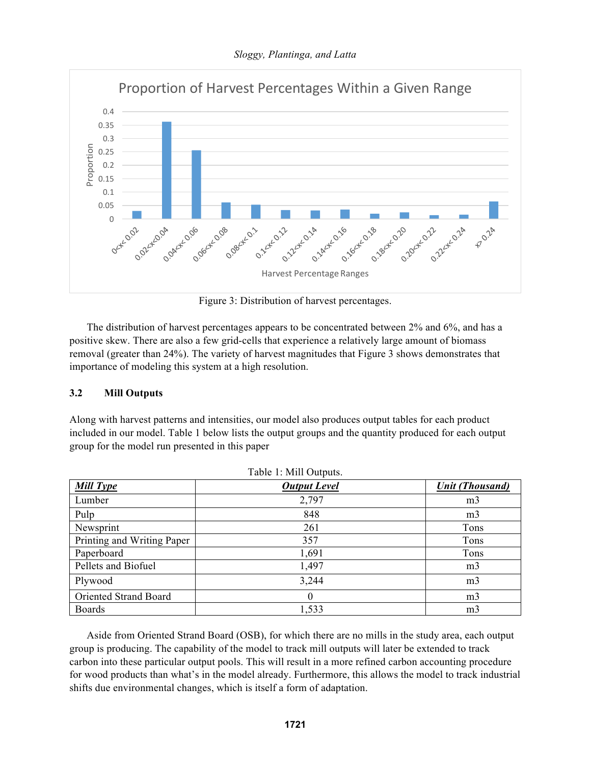*Sloggy, Plantinga, and Latta*



Figure 3: Distribution of harvest percentages.

The distribution of harvest percentages appears to be concentrated between 2% and 6%, and has a positive skew. There are also a few grid-cells that experience a relatively large amount of biomass removal (greater than 24%). The variety of harvest magnitudes that Figure 3 shows demonstrates that importance of modeling this system at a high resolution.

# **3.2 Mill Outputs**

Along with harvest patterns and intensities, our model also produces output tables for each product included in our model. Table 1 below lists the output groups and the quantity produced for each output group for the model run presented in this paper

| Table 1: Mill Outputs.     |                     |                        |
|----------------------------|---------------------|------------------------|
| Mill Type                  | <b>Output Level</b> | <b>Unit (Thousand)</b> |
| Lumber                     | 2,797               | m <sub>3</sub>         |
| Pulp                       | 848                 | m <sub>3</sub>         |
| Newsprint                  | 261                 | Tons                   |
| Printing and Writing Paper | 357                 | Tons                   |
| Paperboard                 | 1,691               | Tons                   |
| Pellets and Biofuel        | 1,497               | m <sub>3</sub>         |
| Plywood                    | 3,244               | m <sub>3</sub>         |
| Oriented Strand Board      | $\Omega$            | m <sub>3</sub>         |
| <b>Boards</b>              | 1,533               | m <sub>3</sub>         |

Aside from Oriented Strand Board (OSB), for which there are no mills in the study area, each output group is producing. The capability of the model to track mill outputs will later be extended to track carbon into these particular output pools. This will result in a more refined carbon accounting procedure for wood products than what's in the model already. Furthermore, this allows the model to track industrial shifts due environmental changes, which is itself a form of adaptation.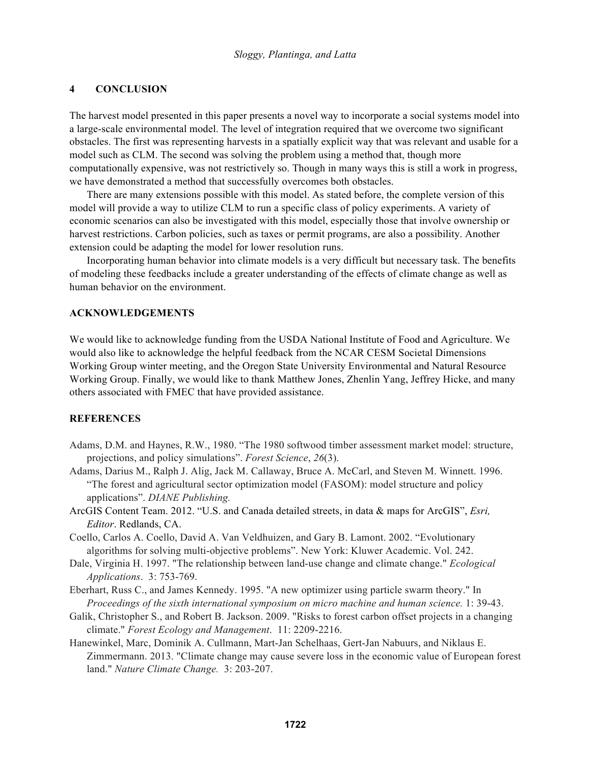### **4 CONCLUSION**

The harvest model presented in this paper presents a novel way to incorporate a social systems model into a large-scale environmental model. The level of integration required that we overcome two significant obstacles. The first was representing harvests in a spatially explicit way that was relevant and usable for a model such as CLM. The second was solving the problem using a method that, though more computationally expensive, was not restrictively so. Though in many ways this is still a work in progress, we have demonstrated a method that successfully overcomes both obstacles.

There are many extensions possible with this model. As stated before, the complete version of this model will provide a way to utilize CLM to run a specific class of policy experiments. A variety of economic scenarios can also be investigated with this model, especially those that involve ownership or harvest restrictions. Carbon policies, such as taxes or permit programs, are also a possibility. Another extension could be adapting the model for lower resolution runs.

Incorporating human behavior into climate models is a very difficult but necessary task. The benefits of modeling these feedbacks include a greater understanding of the effects of climate change as well as human behavior on the environment.

### **ACKNOWLEDGEMENTS**

We would like to acknowledge funding from the USDA National Institute of Food and Agriculture. We would also like to acknowledge the helpful feedback from the NCAR CESM Societal Dimensions Working Group winter meeting, and the Oregon State University Environmental and Natural Resource Working Group. Finally, we would like to thank Matthew Jones, Zhenlin Yang, Jeffrey Hicke, and many others associated with FMEC that have provided assistance.

## **REFERENCES**

- Adams, D.M. and Haynes, R.W., 1980. "The 1980 softwood timber assessment market model: structure, projections, and policy simulations". *Forest Science*, *26*(3).
- Adams, Darius M., Ralph J. Alig, Jack M. Callaway, Bruce A. McCarl, and Steven M. Winnett. 1996. "The forest and agricultural sector optimization model (FASOM): model structure and policy applications". *DIANE Publishing.*
- ArcGIS Content Team. 2012. "U.S. and Canada detailed streets, in data & maps for ArcGIS", *Esri, Editor*. Redlands, CA.
- Coello, Carlos A. Coello, David A. Van Veldhuizen, and Gary B. Lamont. 2002. "Evolutionary algorithms for solving multi-objective problems". New York: Kluwer Academic. Vol. 242.
- Dale, Virginia H. 1997. "The relationship between land-use change and climate change." *Ecological Applications*. 3: 753-769.
- Eberhart, Russ C., and James Kennedy. 1995. "A new optimizer using particle swarm theory." In *Proceedings of the sixth international symposium on micro machine and human science.* 1: 39-43.
- Galik, Christopher S., and Robert B. Jackson. 2009. "Risks to forest carbon offset projects in a changing climate." *Forest Ecology and Management*. 11: 2209-2216.
- Hanewinkel, Marc, Dominik A. Cullmann, Mart-Jan Schelhaas, Gert-Jan Nabuurs, and Niklaus E. Zimmermann. 2013. "Climate change may cause severe loss in the economic value of European forest land." *Nature Climate Change.* 3: 203-207.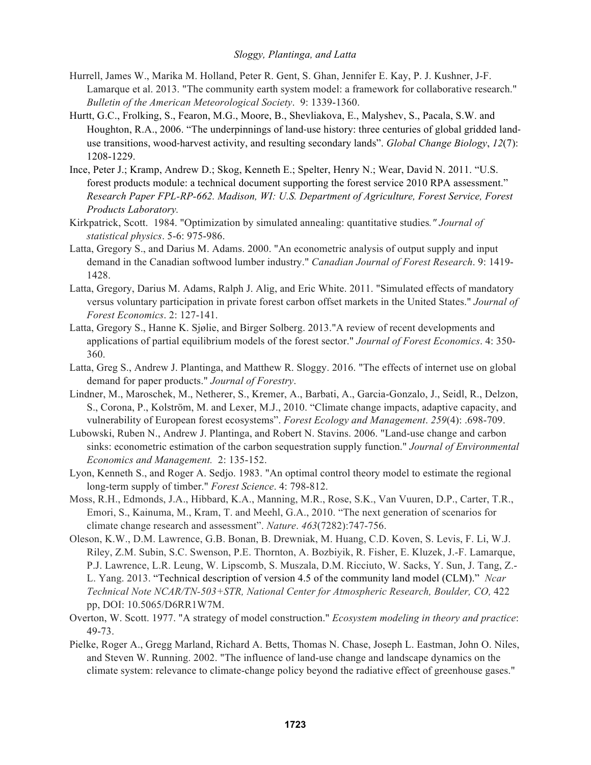- Hurrell, James W., Marika M. Holland, Peter R. Gent, S. Ghan, Jennifer E. Kay, P. J. Kushner, J-F. Lamarque et al. 2013. "The community earth system model: a framework for collaborative research." *Bulletin of the American Meteorological Society*. 9: 1339-1360.
- Hurtt, G.C., Frolking, S., Fearon, M.G., Moore, B., Shevliakova, E., Malyshev, S., Pacala, S.W. and Houghton, R.A., 2006. "The underpinnings of land-use history: three centuries of global gridded landuse transitions, wood-harvest activity, and resulting secondary lands". *Global Change Biology*, *12*(7): 1208-1229.
- Ince, Peter J.; Kramp, Andrew D.; Skog, Kenneth E.; Spelter, Henry N.; Wear, David N. 2011. "U.S. forest products module: a technical document supporting the forest service 2010 RPA assessment." *Research Paper FPL-RP-662. Madison, WI: U.S. Department of Agriculture, Forest Service, Forest Products Laboratory.*
- Kirkpatrick, Scott. 1984. "Optimization by simulated annealing: quantitative studies*." Journal of statistical physics*. 5-6: 975-986.
- Latta, Gregory S., and Darius M. Adams. 2000. "An econometric analysis of output supply and input demand in the Canadian softwood lumber industry." *Canadian Journal of Forest Research*. 9: 1419- 1428.
- Latta, Gregory, Darius M. Adams, Ralph J. Alig, and Eric White. 2011. "Simulated effects of mandatory versus voluntary participation in private forest carbon offset markets in the United States." *Journal of Forest Economics*. 2: 127-141.
- Latta, Gregory S., Hanne K. Sjølie, and Birger Solberg. 2013."A review of recent developments and applications of partial equilibrium models of the forest sector." *Journal of Forest Economics*. 4: 350- 360.
- Latta, Greg S., Andrew J. Plantinga, and Matthew R. Sloggy. 2016. "The effects of internet use on global demand for paper products." *Journal of Forestry*.
- Lindner, M., Maroschek, M., Netherer, S., Kremer, A., Barbati, A., Garcia-Gonzalo, J., Seidl, R., Delzon, S., Corona, P., Kolström, M. and Lexer, M.J., 2010. "Climate change impacts, adaptive capacity, and vulnerability of European forest ecosystems". *Forest Ecology and Management*. *259*(4): .698-709.
- Lubowski, Ruben N., Andrew J. Plantinga, and Robert N. Stavins. 2006. "Land-use change and carbon sinks: econometric estimation of the carbon sequestration supply function." *Journal of Environmental Economics and Management.* 2: 135-152.
- Lyon, Kenneth S., and Roger A. Sedjo. 1983. "An optimal control theory model to estimate the regional long-term supply of timber." *Forest Science*. 4: 798-812.
- Moss, R.H., Edmonds, J.A., Hibbard, K.A., Manning, M.R., Rose, S.K., Van Vuuren, D.P., Carter, T.R., Emori, S., Kainuma, M., Kram, T. and Meehl, G.A., 2010. "The next generation of scenarios for climate change research and assessment". *Nature*. *463*(7282):747-756.
- Oleson, K.W., D.M. Lawrence, G.B. Bonan, B. Drewniak, M. Huang, C.D. Koven, S. Levis, F. Li, W.J. Riley, Z.M. Subin, S.C. Swenson, P.E. Thornton, A. Bozbiyik, R. Fisher, E. Kluzek, J.-F. Lamarque, P.J. Lawrence, L.R. Leung, W. Lipscomb, S. Muszala, D.M. Ricciuto, W. Sacks, Y. Sun, J. Tang, Z.- L. Yang. 2013. "Technical description of version 4.5 of the community land model (CLM)." *Ncar Technical Note NCAR/TN-503+STR, National Center for Atmospheric Research, Boulder, CO,* 422 pp, DOI: 10.5065/D6RR1W7M.
- Overton, W. Scott. 1977. "A strategy of model construction." *Ecosystem modeling in theory and practice*: 49-73.
- Pielke, Roger A., Gregg Marland, Richard A. Betts, Thomas N. Chase, Joseph L. Eastman, John O. Niles, and Steven W. Running. 2002. "The influence of land-use change and landscape dynamics on the climate system: relevance to climate-change policy beyond the radiative effect of greenhouse gases."